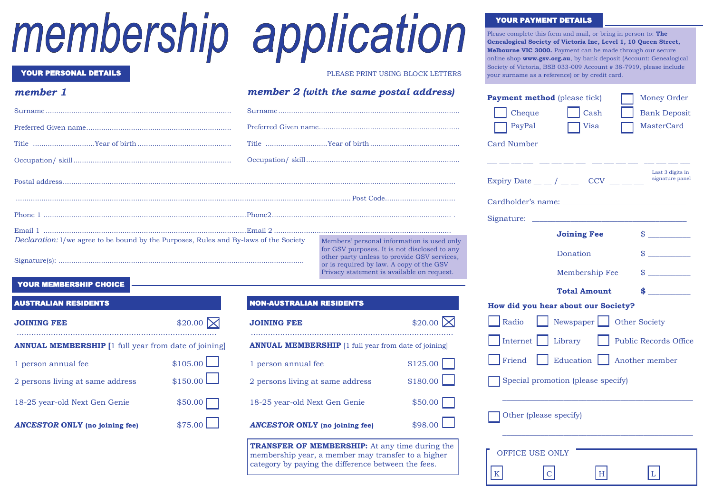# membership application

| <b>YOUR PERSONAL DETAILS</b>                                                          |                                 | PLEASE PRINT USING BLOCK LETTERS                                                                                                      |
|---------------------------------------------------------------------------------------|---------------------------------|---------------------------------------------------------------------------------------------------------------------------------------|
| member 1                                                                              |                                 | member 2 (with the same postal address)                                                                                               |
|                                                                                       |                                 |                                                                                                                                       |
|                                                                                       |                                 |                                                                                                                                       |
|                                                                                       |                                 |                                                                                                                                       |
|                                                                                       |                                 |                                                                                                                                       |
|                                                                                       |                                 |                                                                                                                                       |
|                                                                                       |                                 |                                                                                                                                       |
|                                                                                       |                                 |                                                                                                                                       |
|                                                                                       |                                 |                                                                                                                                       |
| Declaration: I/we agree to be bound by the Purposes, Rules and By-laws of the Society |                                 | Members' personal information is used only<br>for GSV purposes. It is not disclosed to any                                            |
|                                                                                       |                                 | other party unless to provide GSV services,<br>or is required by law. A copy of the GSV<br>Privacy statement is available on request. |
| <b>YOUR MEMBERSHIP CHOICE</b>                                                         |                                 |                                                                                                                                       |
| <b>AUSTRALIAN RESIDENTS</b>                                                           | <b>NON-AUSTRALIAN RESIDENTS</b> |                                                                                                                                       |

| <b>JOINING FEE</b>                                          | \$20.00 $\nabla$ |  |  |
|-------------------------------------------------------------|------------------|--|--|
| <b>ANNUAL MEMBERSHIP</b> [1 full year from date of joining] |                  |  |  |
| 1 person annual fee                                         | $$105.00$ $\Box$ |  |  |
| 2 persons living at same address                            | \$150.00         |  |  |
| 18-25 year-old Next Gen Genie                               | \$50.00          |  |  |
| <b>ANCESTOR ONLY</b> (no joining fee)                       | \$75.00          |  |  |

| <b>JOINING FEE</b>                                          | $$20.00$ $\times$ |  |
|-------------------------------------------------------------|-------------------|--|
| <b>ANNUAL MEMBERSHIP</b> [1 full year from date of joining] |                   |  |
| 1 person annual fee                                         | \$125.00          |  |
| 2 persons living at same address                            | \$180.00          |  |
| 18-25 year-old Next Gen Genie                               | \$50.00           |  |
| <b>ANCESTOR ONLY</b> (no joining fee)                       | $$98.00$ $\Box$   |  |

**TRANSFER OF MEMBERSHIP:** At any time during the membership year, a member may transfer to a higher category by paying the difference between the fees.

#### YOUR PAYMENT DETAILS

Please complete this form and mail, or bring in person to: **The Genealogical Society of Victoria Inc, Level 1, 10 Queen Street, Melbourne VIC 3000.** Payment can be made through our secure online shop **www.gsv.org.au**, by bank deposit (Account: Genealogical Society of Victoria, BSB 033-009 Account # 38-7919, please include your surname as a reference) or by credit card.

| <b>Money Order</b>                  |
|-------------------------------------|
| <b>Bank Deposit</b>                 |
| <b>MasterCard</b>                   |
|                                     |
|                                     |
| Last 3 digits in<br>signature panel |
|                                     |
|                                     |
| $\frac{1}{2}$                       |
| $\frac{1}{2}$                       |
| $\frac{1}{2}$                       |
| $\frac{1}{2}$                       |
|                                     |
|                                     |
| <b>Public Records Office</b>        |
| Another member                      |
|                                     |
|                                     |
|                                     |
|                                     |
|                                     |
|                                     |

K  $|C|$  H  $|L|$